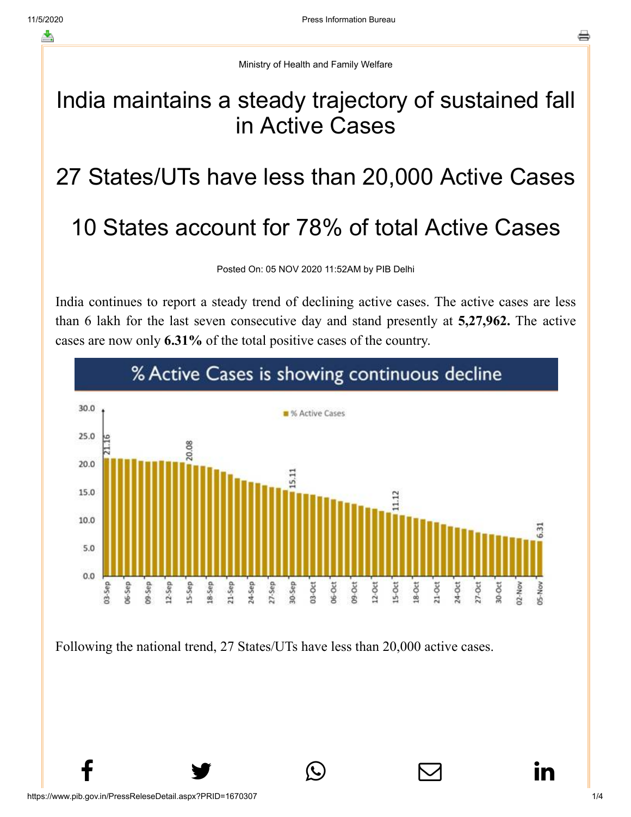Ministry of Health and Family Welfare

## India maintains a steady trajectory of sustained fall in Active Cases

## 27 States/UTs have less than 20,000 Active Cases

## 10 States account for 78% of total Active Cases

Posted On: 05 NOV 2020 11:52AM by PIB Delhi

India continues to report a steady trend of declining active cases. The active cases are less than 6 lakh for the last seven consecutive day and stand presently at **5,27,962.** The active cases are now only **6.31%** of the total positive cases of the country.



 $f$  y  $\circledcirc$   $\quad \circ$  in

Following the national trend, 27 States/UTs have less than 20,000 active cases.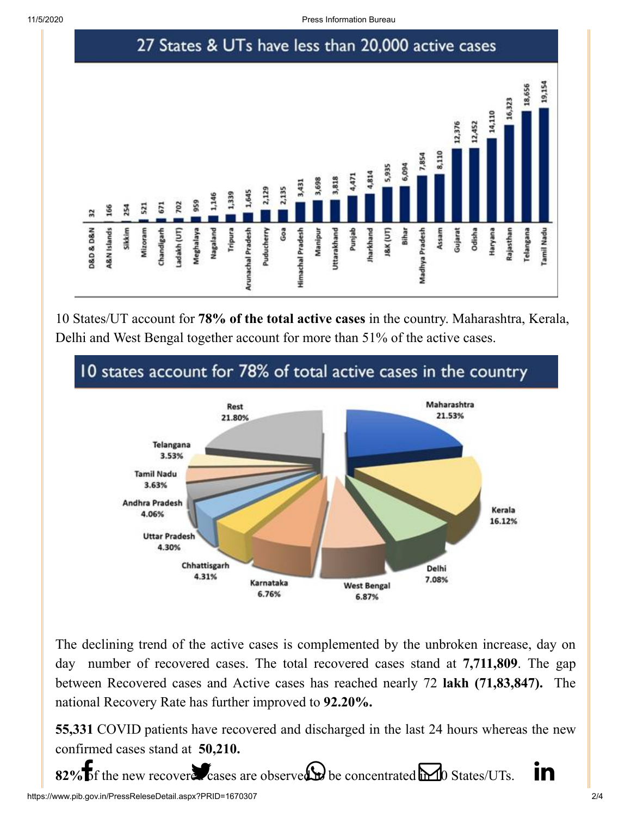

10 States/UT account for **78% of the total active cases** in the country. Maharashtra, Kerala, Delhi and West Bengal together account for more than 51% of the active cases.



The declining trend of the active cases is complemented by the unbroken increase, day on day number of recovered cases. The total recovered cases stand at **7,711,809**. The gap between Recovered cases and Active cases has reached nearly 72 **lakh (71,83,847).** The national Recovery Rate has further improved to **92.20%.**

**55,331** COVID patients have recovered and discharged in the last 24 hours whereas the new confirmed cases stand at **50,210.**

https://www.pib.gov.in/PressReleseDetail.aspx?PRID=1670307 2/4  $82\%$  [of the new](http://www.facebook.com/share.php?u=https://pib.gov.in/PressReleasePage.aspx?PRID=1670307) [recovered cases are](https://twitter.com/intent/tweet?url=https://pib.gov.in/PressReleasePage.aspx?PRID=1670307&text=India%20maintains%20a%20steady%20trajectory%20of%20sustained%20fall%20in%20Active%20Cases) [observed to be conc](https://api.whatsapp.com/send?text=https://pib.gov.in/PressReleasePage.aspx?PRID=1670307)[entrated in 10 States/](https://mail.google.com/mail/?view=cm&fs=1&tf=1&to=&su=India%20maintains%20a%20steady%20trajectory%20of%20sustained%20fall%20in%20Active%20Cases&body=https://pib.gov.in/PressReleasePage.aspx?PRID=1670307&ui=2&tf=1&pli=1)UTs.  $\blacksquare$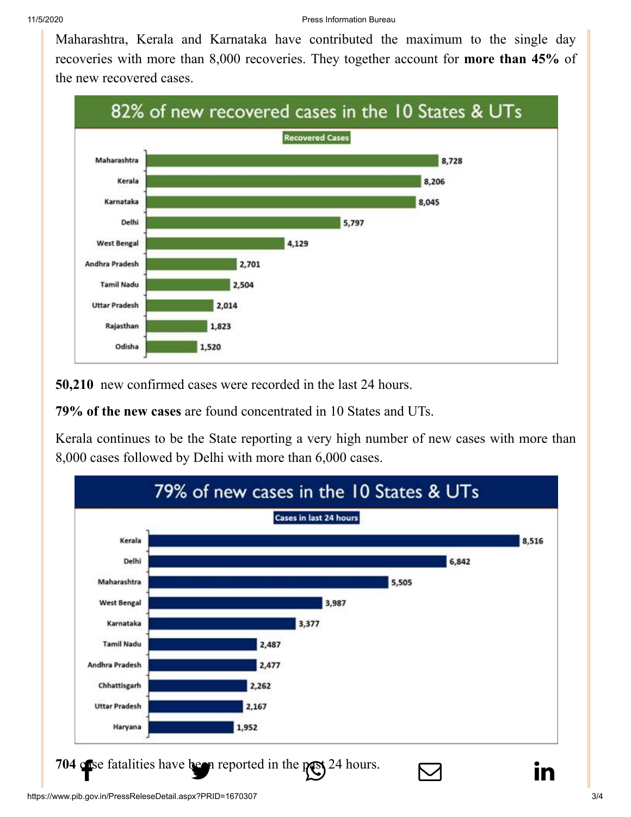[Maharashtra, K](http://www.facebook.com/share.php?u=https://pib.gov.in/PressReleasePage.aspx?PRID=1670307)[erala and Karnatak](https://twitter.com/intent/tweet?url=https://pib.gov.in/PressReleasePage.aspx?PRID=1670307&text=India%20maintains%20a%20steady%20trajectory%20of%20sustained%20fall%20in%20Active%20Cases)[a have contributed](https://api.whatsapp.com/send?text=https://pib.gov.in/PressReleasePage.aspx?PRID=1670307) [the maximum to](https://mail.google.com/mail/?view=cm&fs=1&tf=1&to=&su=India%20maintains%20a%20steady%20trajectory%20of%20sustained%20fall%20in%20Active%20Cases&body=https://pib.gov.in/PressReleasePage.aspx?PRID=1670307&ui=2&tf=1&pli=1) [the single day](https://www.linkedin.com/shareArticle?mini=true&url=https://pib.gov.in/PressReleasePage.aspx?PRID=1670307&title=India%20maintains%20a%20steady%20trajectory%20of%20sustained%20fall%20in%20Active%20Cases&summary=My%20favorite%20developer%20program&source=LinkedIn) recoveries with more than 8,000 recoveries. They together account for **more than 45%** of the new recovered cases.



**50,210** new confirmed cases were recorded in the last 24 hours.

**79% of the new cases** are found concentrated in 10 States and UTs.

Kerala continues to be the State reporting a very high number of new cases with more than 8,000 cases followed by Delhi with more than 6,000 cases.